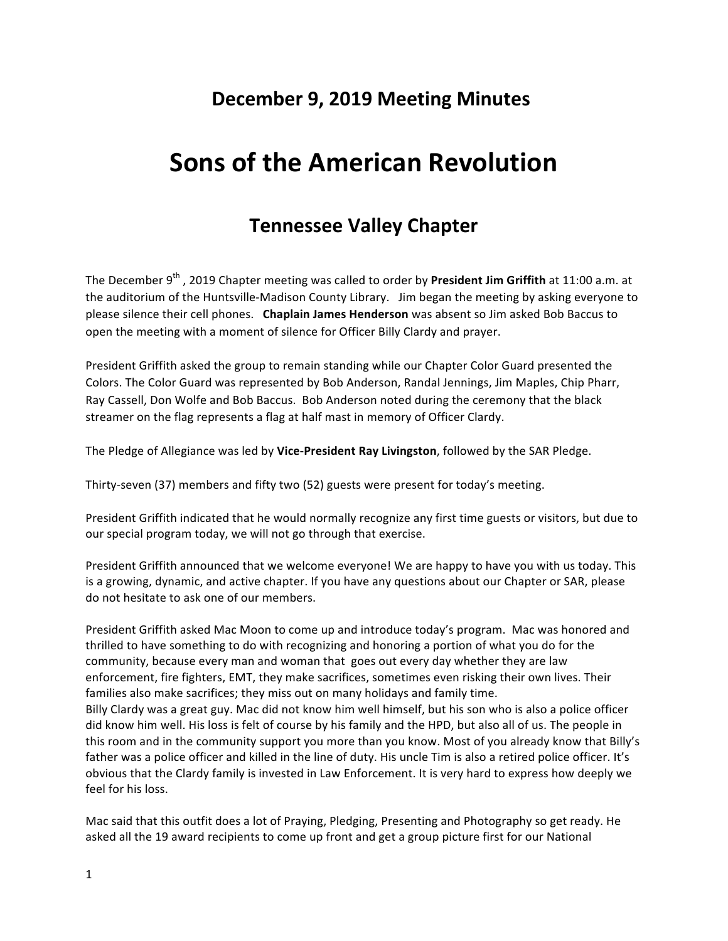## **December 9, 2019 Meeting Minutes**

# **Sons of the American Revolution**

## **Tennessee Valley Chapter**

The December 9<sup>th</sup>, 2019 Chapter meeting was called to order by President Jim Griffith at 11:00 a.m. at the auditorium of the Huntsville-Madison County Library. Jim began the meeting by asking everyone to please silence their cell phones. Chaplain James Henderson was absent so Jim asked Bob Baccus to open the meeting with a moment of silence for Officer Billy Clardy and prayer.

President Griffith asked the group to remain standing while our Chapter Color Guard presented the Colors. The Color Guard was represented by Bob Anderson, Randal Jennings, Jim Maples, Chip Pharr, Ray Cassell, Don Wolfe and Bob Baccus. Bob Anderson noted during the ceremony that the black streamer on the flag represents a flag at half mast in memory of Officer Clardy.

The Pledge of Allegiance was led by Vice-President Ray Livingston, followed by the SAR Pledge.

Thirty-seven (37) members and fifty two (52) guests were present for today's meeting.

President Griffith indicated that he would normally recognize any first time guests or visitors, but due to our special program today, we will not go through that exercise.

President Griffith announced that we welcome everyone! We are happy to have you with us today. This is a growing, dynamic, and active chapter. If you have any questions about our Chapter or SAR, please do not hesitate to ask one of our members.

President Griffith asked Mac Moon to come up and introduce today's program. Mac was honored and thrilled to have something to do with recognizing and honoring a portion of what you do for the community, because every man and woman that goes out every day whether they are law enforcement, fire fighters, EMT, they make sacrifices, sometimes even risking their own lives. Their families also make sacrifices; they miss out on many holidays and family time. Billy Clardy was a great guy. Mac did not know him well himself, but his son who is also a police officer did know him well. His loss is felt of course by his family and the HPD, but also all of us. The people in this room and in the community support you more than you know. Most of you already know that Billy's father was a police officer and killed in the line of duty. His uncle Tim is also a retired police officer. It's obvious that the Clardy family is invested in Law Enforcement. It is very hard to express how deeply we feel for his loss.

Mac said that this outfit does a lot of Praying, Pledging, Presenting and Photography so get ready. He asked all the 19 award recipients to come up front and get a group picture first for our National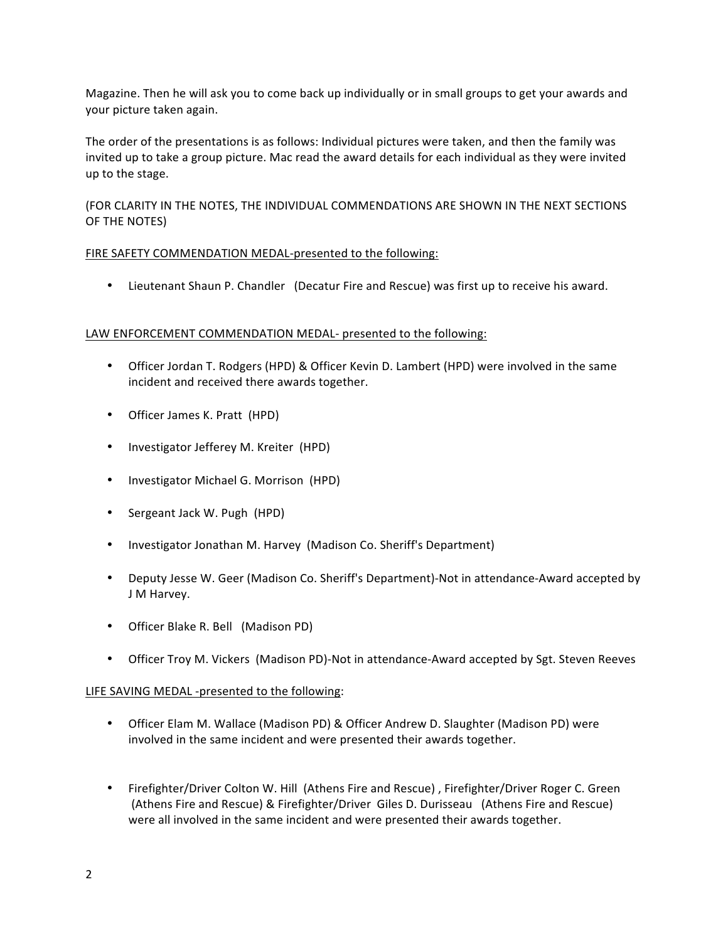Magazine. Then he will ask you to come back up individually or in small groups to get your awards and your picture taken again.

The order of the presentations is as follows: Individual pictures were taken, and then the family was invited up to take a group picture. Mac read the award details for each individual as they were invited up to the stage.

(FOR CLARITY IN THE NOTES, THE INDIVIDUAL COMMENDATIONS ARE SHOWN IN THE NEXT SECTIONS OF THE NOTES)

## FIRE SAFETY COMMENDATION MEDAL-presented to the following:

• Lieutenant Shaun P. Chandler (Decatur Fire and Rescue) was first up to receive his award.

## LAW ENFORCEMENT COMMENDATION MEDAL- presented to the following:

- Officer Jordan T. Rodgers (HPD) & Officer Kevin D. Lambert (HPD) were involved in the same incident and received there awards together.
- Officer James K. Pratt (HPD)
- Investigator Jefferey M. Kreiter (HPD)
- Investigator Michael G. Morrison (HPD)
- Sergeant Jack W. Pugh (HPD)
- Investigator Jonathan M. Harvey (Madison Co. Sheriff's Department)
- Deputy Jesse W. Geer (Madison Co. Sheriff's Department)-Not in attendance-Award accepted by J M Harvey.
- Officer Blake R. Bell (Madison PD)
- Officer Troy M. Vickers (Madison PD)-Not in attendance-Award accepted by Sgt. Steven Reeves

## LIFE SAVING MEDAL -presented to the following:

- Officer Elam M. Wallace (Madison PD) & Officer Andrew D. Slaughter (Madison PD) were involved in the same incident and were presented their awards together.
- Firefighter/Driver Colton W. Hill (Athens Fire and Rescue), Firefighter/Driver Roger C. Green (Athens Fire and Rescue) & Firefighter/Driver Giles D. Durisseau (Athens Fire and Rescue) were all involved in the same incident and were presented their awards together.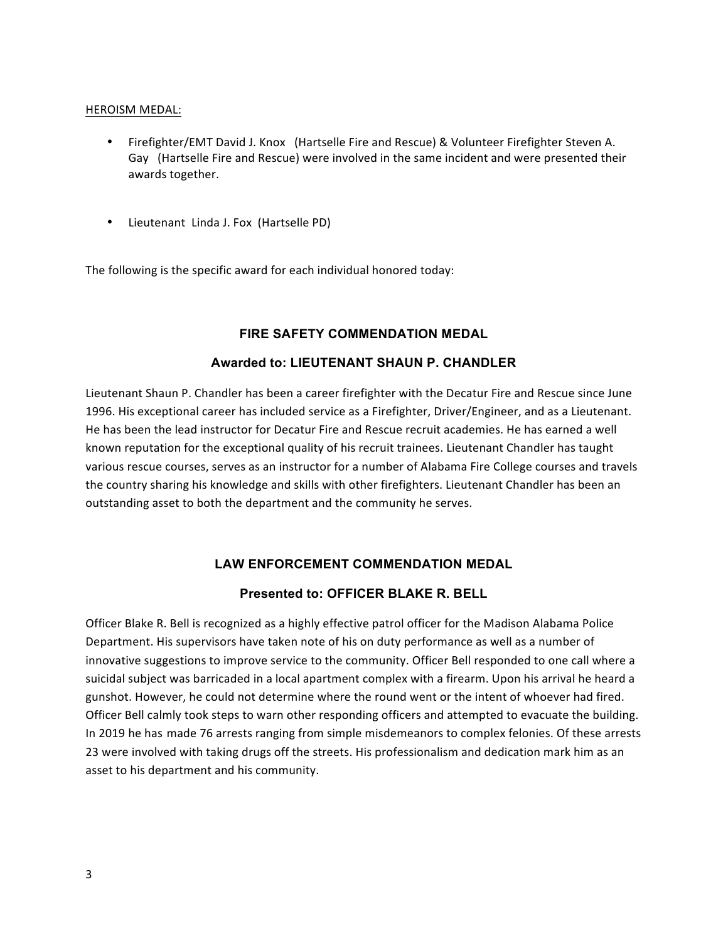#### HEROISM MEDAL:

- Firefighter/EMT David J. Knox (Hartselle Fire and Rescue) & Volunteer Firefighter Steven A. Gay (Hartselle Fire and Rescue) were involved in the same incident and were presented their awards together.
- Lieutenant Linda J. Fox (Hartselle PD)

The following is the specific award for each individual honored today:

## **FIRE SAFETY COMMENDATION MEDAL**

## **Awarded to: LIEUTENANT SHAUN P. CHANDLER**

Lieutenant Shaun P. Chandler has been a career firefighter with the Decatur Fire and Rescue since June 1996. His exceptional career has included service as a Firefighter, Driver/Engineer, and as a Lieutenant. He has been the lead instructor for Decatur Fire and Rescue recruit academies. He has earned a well known reputation for the exceptional quality of his recruit trainees. Lieutenant Chandler has taught various rescue courses, serves as an instructor for a number of Alabama Fire College courses and travels the country sharing his knowledge and skills with other firefighters. Lieutenant Chandler has been an outstanding asset to both the department and the community he serves.

## **LAW ENFORCEMENT COMMENDATION MEDAL**

## **Presented to: OFFICER BLAKE R. BELL**

Officer Blake R. Bell is recognized as a highly effective patrol officer for the Madison Alabama Police Department. His supervisors have taken note of his on duty performance as well as a number of innovative suggestions to improve service to the community. Officer Bell responded to one call where a suicidal subject was barricaded in a local apartment complex with a firearm. Upon his arrival he heard a gunshot. However, he could not determine where the round went or the intent of whoever had fired. Officer Bell calmly took steps to warn other responding officers and attempted to evacuate the building. In 2019 he has made 76 arrests ranging from simple misdemeanors to complex felonies. Of these arrests 23 were involved with taking drugs off the streets. His professionalism and dedication mark him as an asset to his department and his community.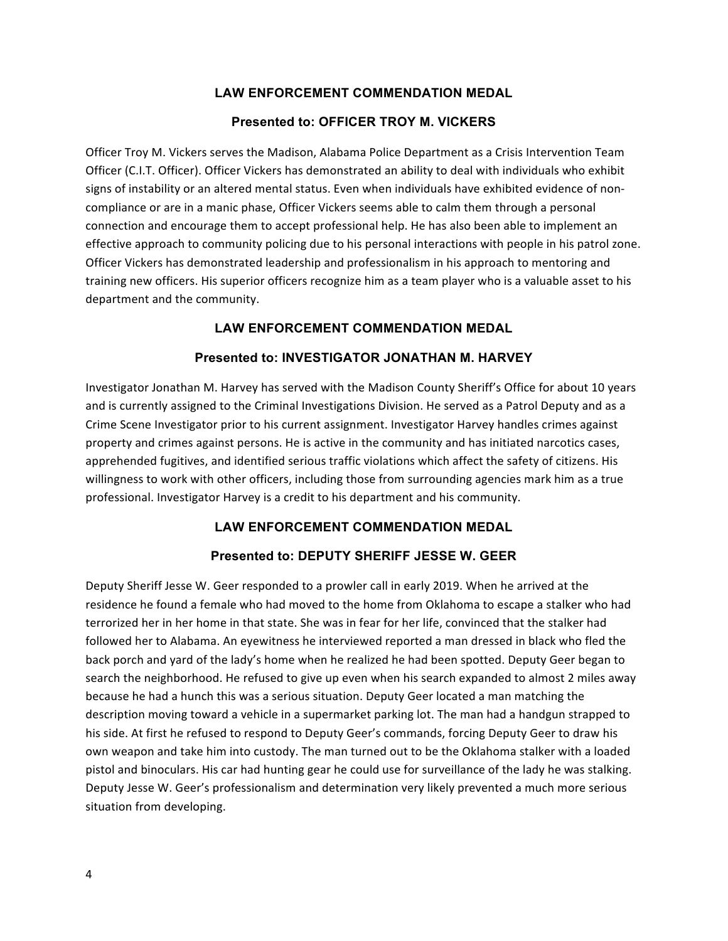## **Presented to: OFFICER TROY M. VICKERS**

Officer Troy M. Vickers serves the Madison, Alabama Police Department as a Crisis Intervention Team Officer (C.I.T. Officer). Officer Vickers has demonstrated an ability to deal with individuals who exhibit signs of instability or an altered mental status. Even when individuals have exhibited evidence of noncompliance or are in a manic phase, Officer Vickers seems able to calm them through a personal connection and encourage them to accept professional help. He has also been able to implement an effective approach to community policing due to his personal interactions with people in his patrol zone. Officer Vickers has demonstrated leadership and professionalism in his approach to mentoring and training new officers. His superior officers recognize him as a team player who is a valuable asset to his department and the community.

## **LAW ENFORCEMENT COMMENDATION MEDAL**

## **Presented to: INVESTIGATOR JONATHAN M. HARVEY**

Investigator Jonathan M. Harvey has served with the Madison County Sheriff's Office for about 10 years and is currently assigned to the Criminal Investigations Division. He served as a Patrol Deputy and as a Crime Scene Investigator prior to his current assignment. Investigator Harvey handles crimes against property and crimes against persons. He is active in the community and has initiated narcotics cases, apprehended fugitives, and identified serious traffic violations which affect the safety of citizens. His willingness to work with other officers, including those from surrounding agencies mark him as a true professional. Investigator Harvey is a credit to his department and his community.

## **LAW ENFORCEMENT COMMENDATION MEDAL**

## **Presented to: DEPUTY SHERIFF JESSE W. GEER**

Deputy Sheriff Jesse W. Geer responded to a prowler call in early 2019. When he arrived at the residence he found a female who had moved to the home from Oklahoma to escape a stalker who had terrorized her in her home in that state. She was in fear for her life, convinced that the stalker had followed her to Alabama. An eyewitness he interviewed reported a man dressed in black who fled the back porch and yard of the lady's home when he realized he had been spotted. Deputy Geer began to search the neighborhood. He refused to give up even when his search expanded to almost 2 miles away because he had a hunch this was a serious situation. Deputy Geer located a man matching the description moving toward a vehicle in a supermarket parking lot. The man had a handgun strapped to his side. At first he refused to respond to Deputy Geer's commands, forcing Deputy Geer to draw his own weapon and take him into custody. The man turned out to be the Oklahoma stalker with a loaded pistol and binoculars. His car had hunting gear he could use for surveillance of the lady he was stalking. Deputy Jesse W. Geer's professionalism and determination very likely prevented a much more serious situation from developing.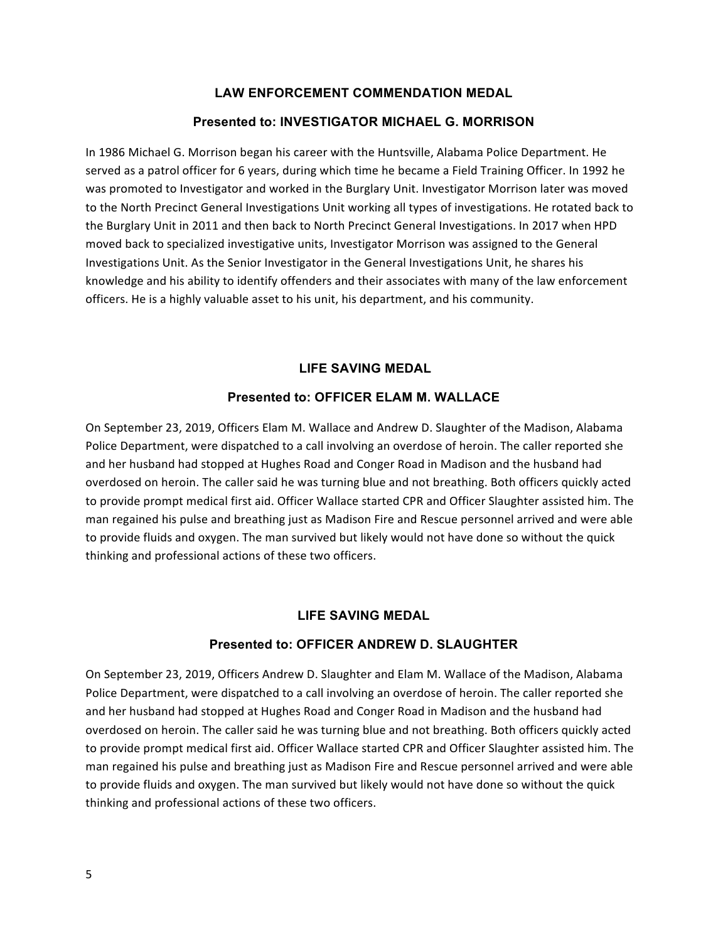#### **Presented to: INVESTIGATOR MICHAEL G. MORRISON**

In 1986 Michael G. Morrison began his career with the Huntsville, Alabama Police Department. He served as a patrol officer for 6 years, during which time he became a Field Training Officer. In 1992 he was promoted to Investigator and worked in the Burglary Unit. Investigator Morrison later was moved to the North Precinct General Investigations Unit working all types of investigations. He rotated back to the Burglary Unit in 2011 and then back to North Precinct General Investigations. In 2017 when HPD moved back to specialized investigative units, Investigator Morrison was assigned to the General Investigations Unit. As the Senior Investigator in the General Investigations Unit, he shares his knowledge and his ability to identify offenders and their associates with many of the law enforcement officers. He is a highly valuable asset to his unit, his department, and his community.

#### **LIFE SAVING MEDAL**

#### **Presented to: OFFICER ELAM M. WALLACE**

On September 23, 2019, Officers Elam M. Wallace and Andrew D. Slaughter of the Madison, Alabama Police Department, were dispatched to a call involving an overdose of heroin. The caller reported she and her husband had stopped at Hughes Road and Conger Road in Madison and the husband had overdosed on heroin. The caller said he was turning blue and not breathing. Both officers quickly acted to provide prompt medical first aid. Officer Wallace started CPR and Officer Slaughter assisted him. The man regained his pulse and breathing just as Madison Fire and Rescue personnel arrived and were able to provide fluids and oxygen. The man survived but likely would not have done so without the quick thinking and professional actions of these two officers.

#### **LIFE SAVING MEDAL**

#### **Presented to: OFFICER ANDREW D. SLAUGHTER**

On September 23, 2019, Officers Andrew D. Slaughter and Elam M. Wallace of the Madison, Alabama Police Department, were dispatched to a call involving an overdose of heroin. The caller reported she and her husband had stopped at Hughes Road and Conger Road in Madison and the husband had overdosed on heroin. The caller said he was turning blue and not breathing. Both officers quickly acted to provide prompt medical first aid. Officer Wallace started CPR and Officer Slaughter assisted him. The man regained his pulse and breathing just as Madison Fire and Rescue personnel arrived and were able to provide fluids and oxygen. The man survived but likely would not have done so without the quick thinking and professional actions of these two officers.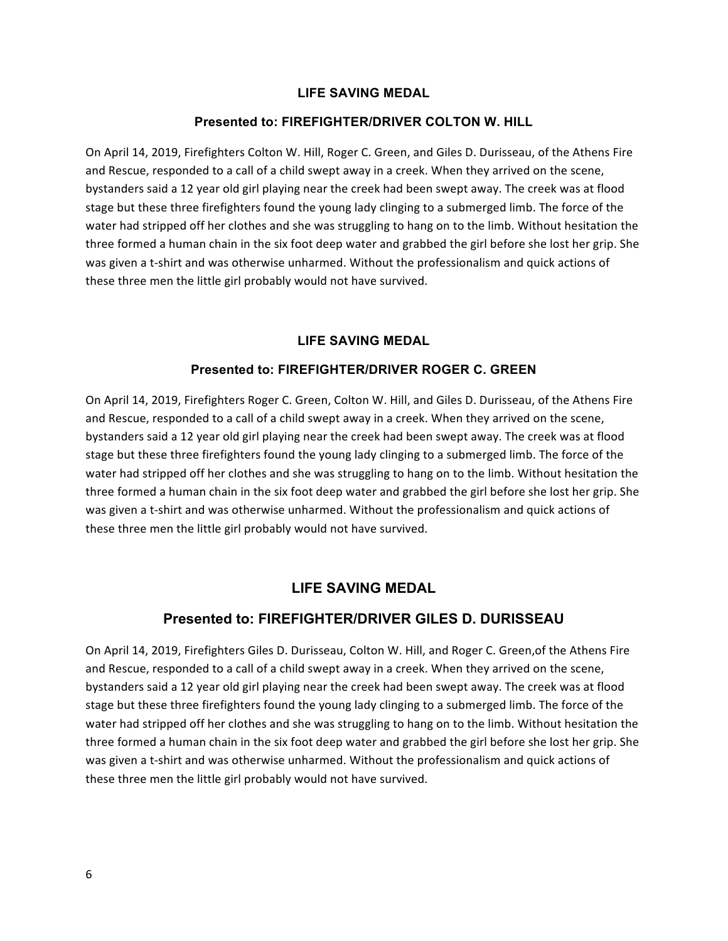## **LIFE SAVING MEDAL**

#### **Presented to: FIREFIGHTER/DRIVER COLTON W. HILL**

On April 14, 2019, Firefighters Colton W. Hill, Roger C. Green, and Giles D. Durisseau, of the Athens Fire and Rescue, responded to a call of a child swept away in a creek. When they arrived on the scene, bystanders said a 12 year old girl playing near the creek had been swept away. The creek was at flood stage but these three firefighters found the young lady clinging to a submerged limb. The force of the water had stripped off her clothes and she was struggling to hang on to the limb. Without hesitation the three formed a human chain in the six foot deep water and grabbed the girl before she lost her grip. She was given a t-shirt and was otherwise unharmed. Without the professionalism and quick actions of these three men the little girl probably would not have survived.

## **LIFE SAVING MEDAL**

#### **Presented to: FIREFIGHTER/DRIVER ROGER C. GREEN**

On April 14, 2019, Firefighters Roger C. Green, Colton W. Hill, and Giles D. Durisseau, of the Athens Fire and Rescue, responded to a call of a child swept away in a creek. When they arrived on the scene, bystanders said a 12 year old girl playing near the creek had been swept away. The creek was at flood stage but these three firefighters found the young lady clinging to a submerged limb. The force of the water had stripped off her clothes and she was struggling to hang on to the limb. Without hesitation the three formed a human chain in the six foot deep water and grabbed the girl before she lost her grip. She was given a t-shirt and was otherwise unharmed. Without the professionalism and quick actions of these three men the little girl probably would not have survived.

## **LIFE SAVING MEDAL**

## **Presented to: FIREFIGHTER/DRIVER GILES D. DURISSEAU**

On April 14, 2019, Firefighters Giles D. Durisseau, Colton W. Hill, and Roger C. Green, of the Athens Fire and Rescue, responded to a call of a child swept away in a creek. When they arrived on the scene, bystanders said a 12 year old girl playing near the creek had been swept away. The creek was at flood stage but these three firefighters found the young lady clinging to a submerged limb. The force of the water had stripped off her clothes and she was struggling to hang on to the limb. Without hesitation the three formed a human chain in the six foot deep water and grabbed the girl before she lost her grip. She was given a t-shirt and was otherwise unharmed. Without the professionalism and quick actions of these three men the little girl probably would not have survived.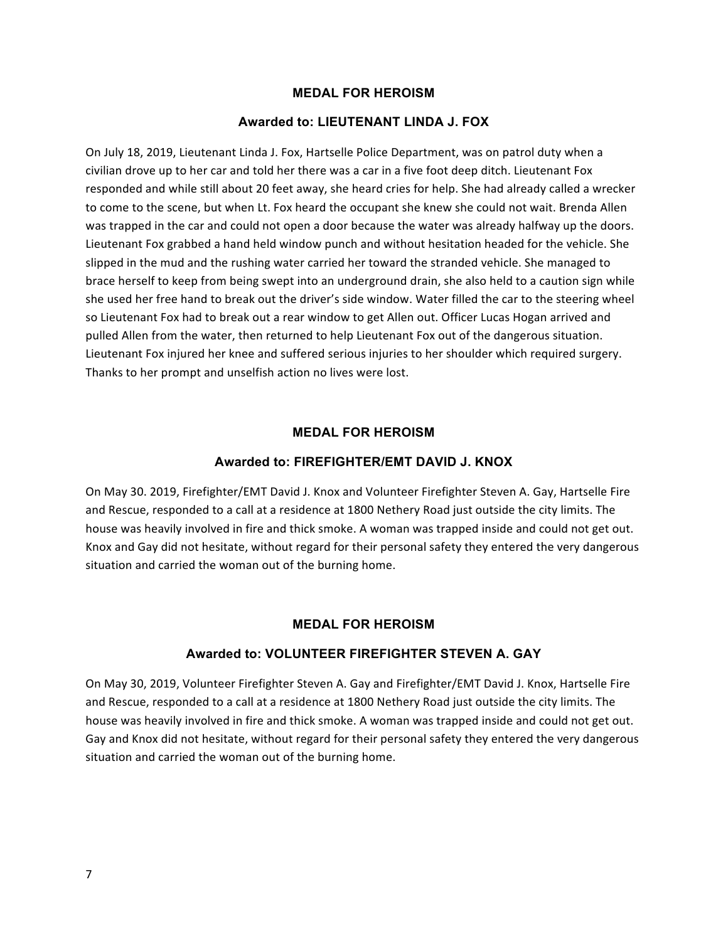## **MEDAL FOR HEROISM**

#### **Awarded to: LIEUTENANT LINDA J. FOX**

On July 18, 2019, Lieutenant Linda J. Fox, Hartselle Police Department, was on patrol duty when a civilian drove up to her car and told her there was a car in a five foot deep ditch. Lieutenant Fox responded and while still about 20 feet away, she heard cries for help. She had already called a wrecker to come to the scene, but when Lt. Fox heard the occupant she knew she could not wait. Brenda Allen was trapped in the car and could not open a door because the water was already halfway up the doors. Lieutenant Fox grabbed a hand held window punch and without hesitation headed for the vehicle. She slipped in the mud and the rushing water carried her toward the stranded vehicle. She managed to brace herself to keep from being swept into an underground drain, she also held to a caution sign while she used her free hand to break out the driver's side window. Water filled the car to the steering wheel so Lieutenant Fox had to break out a rear window to get Allen out. Officer Lucas Hogan arrived and pulled Allen from the water, then returned to help Lieutenant Fox out of the dangerous situation. Lieutenant Fox injured her knee and suffered serious injuries to her shoulder which required surgery. Thanks to her prompt and unselfish action no lives were lost.

#### **MEDAL FOR HEROISM**

#### **Awarded to: FIREFIGHTER/EMT DAVID J. KNOX**

On May 30. 2019, Firefighter/EMT David J. Knox and Volunteer Firefighter Steven A. Gay, Hartselle Fire and Rescue, responded to a call at a residence at 1800 Nethery Road just outside the city limits. The house was heavily involved in fire and thick smoke. A woman was trapped inside and could not get out. Knox and Gay did not hesitate, without regard for their personal safety they entered the very dangerous situation and carried the woman out of the burning home.

#### **MEDAL FOR HEROISM**

## **Awarded to: VOLUNTEER FIREFIGHTER STEVEN A. GAY**

On May 30, 2019, Volunteer Firefighter Steven A. Gay and Firefighter/EMT David J. Knox, Hartselle Fire and Rescue, responded to a call at a residence at 1800 Nethery Road just outside the city limits. The house was heavily involved in fire and thick smoke. A woman was trapped inside and could not get out. Gay and Knox did not hesitate, without regard for their personal safety they entered the very dangerous situation and carried the woman out of the burning home.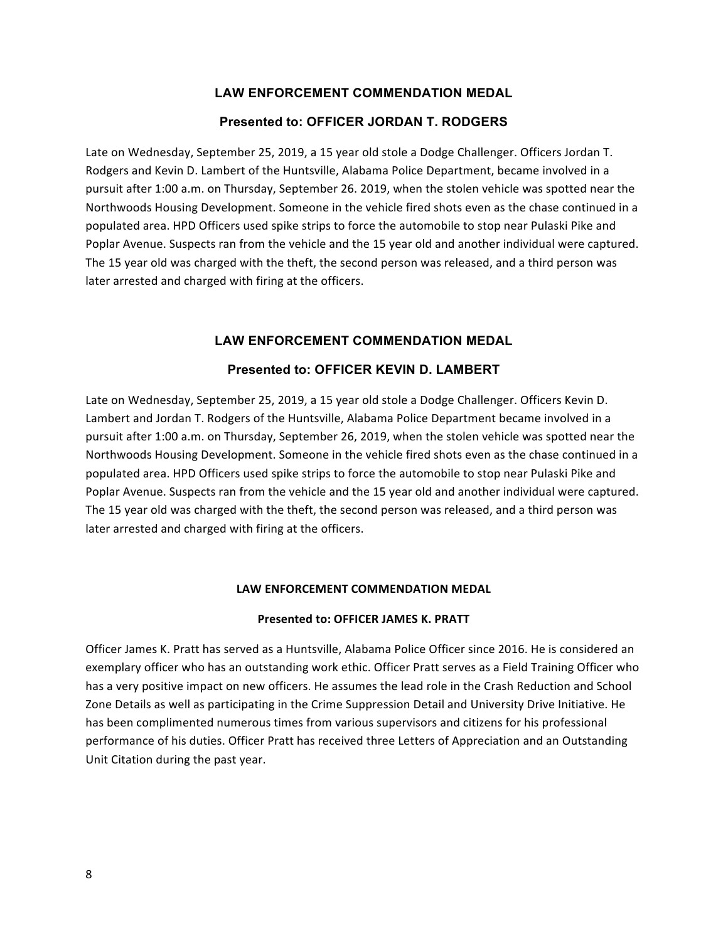#### **Presented to: OFFICER JORDAN T. RODGERS**

Late on Wednesday, September 25, 2019, a 15 year old stole a Dodge Challenger. Officers Jordan T. Rodgers and Kevin D. Lambert of the Huntsville, Alabama Police Department, became involved in a pursuit after 1:00 a.m. on Thursday, September 26. 2019, when the stolen vehicle was spotted near the Northwoods Housing Development. Someone in the vehicle fired shots even as the chase continued in a populated area. HPD Officers used spike strips to force the automobile to stop near Pulaski Pike and Poplar Avenue. Suspects ran from the vehicle and the 15 year old and another individual were captured. The 15 year old was charged with the theft, the second person was released, and a third person was later arrested and charged with firing at the officers.

#### **LAW ENFORCEMENT COMMENDATION MEDAL**

#### **Presented to: OFFICER KEVIN D. LAMBERT**

Late on Wednesday, September 25, 2019, a 15 year old stole a Dodge Challenger. Officers Kevin D. Lambert and Jordan T. Rodgers of the Huntsville, Alabama Police Department became involved in a pursuit after 1:00 a.m. on Thursday, September 26, 2019, when the stolen vehicle was spotted near the Northwoods Housing Development. Someone in the vehicle fired shots even as the chase continued in a populated area. HPD Officers used spike strips to force the automobile to stop near Pulaski Pike and Poplar Avenue. Suspects ran from the vehicle and the 15 year old and another individual were captured. The 15 year old was charged with the theft, the second person was released, and a third person was later arrested and charged with firing at the officers.

#### LAW ENFORCEMENT COMMENDATION MEDAL

#### **Presented to: OFFICER JAMES K. PRATT**

Officer James K. Pratt has served as a Huntsville, Alabama Police Officer since 2016. He is considered an exemplary officer who has an outstanding work ethic. Officer Pratt serves as a Field Training Officer who has a very positive impact on new officers. He assumes the lead role in the Crash Reduction and School Zone Details as well as participating in the Crime Suppression Detail and University Drive Initiative. He has been complimented numerous times from various supervisors and citizens for his professional performance of his duties. Officer Pratt has received three Letters of Appreciation and an Outstanding Unit Citation during the past year.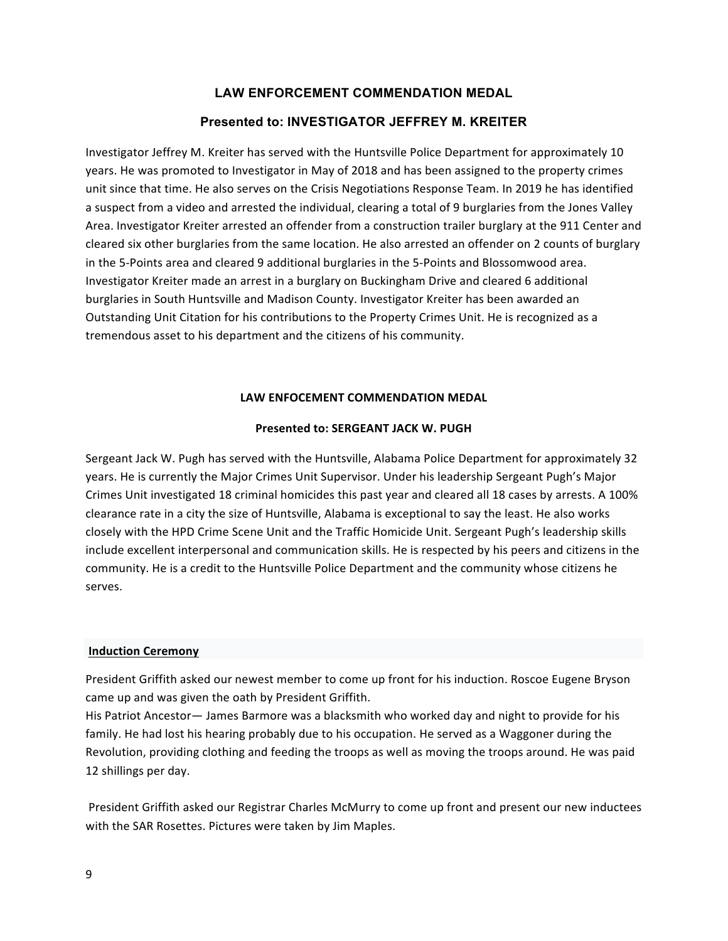## **Presented to: INVESTIGATOR JEFFREY M. KREITER**

Investigator Jeffrey M. Kreiter has served with the Huntsville Police Department for approximately 10 years. He was promoted to Investigator in May of 2018 and has been assigned to the property crimes unit since that time. He also serves on the Crisis Negotiations Response Team. In 2019 he has identified a suspect from a video and arrested the individual, clearing a total of 9 burglaries from the Jones Valley Area. Investigator Kreiter arrested an offender from a construction trailer burglary at the 911 Center and cleared six other burglaries from the same location. He also arrested an offender on 2 counts of burglary in the 5-Points area and cleared 9 additional burglaries in the 5-Points and Blossomwood area. Investigator Kreiter made an arrest in a burglary on Buckingham Drive and cleared 6 additional burglaries in South Huntsville and Madison County. Investigator Kreiter has been awarded an Outstanding Unit Citation for his contributions to the Property Crimes Unit. He is recognized as a tremendous asset to his department and the citizens of his community.

#### LAW ENFOCEMENT COMMENDATION MEDAL

#### **Presented to: SERGEANT JACK W. PUGH**

Sergeant Jack W. Pugh has served with the Huntsville, Alabama Police Department for approximately 32 years. He is currently the Major Crimes Unit Supervisor. Under his leadership Sergeant Pugh's Major Crimes Unit investigated 18 criminal homicides this past year and cleared all 18 cases by arrests. A 100% clearance rate in a city the size of Huntsville, Alabama is exceptional to say the least. He also works closely with the HPD Crime Scene Unit and the Traffic Homicide Unit. Sergeant Pugh's leadership skills include excellent interpersonal and communication skills. He is respected by his peers and citizens in the community. He is a credit to the Huntsville Police Department and the community whose citizens he serves.

#### **Induction Ceremony**

President Griffith asked our newest member to come up front for his induction. Roscoe Eugene Bryson came up and was given the oath by President Griffith.

His Patriot Ancestor- James Barmore was a blacksmith who worked day and night to provide for his family. He had lost his hearing probably due to his occupation. He served as a Waggoner during the Revolution, providing clothing and feeding the troops as well as moving the troops around. He was paid 12 shillings per day.

President Griffith asked our Registrar Charles McMurry to come up front and present our new inductees with the SAR Rosettes. Pictures were taken by Jim Maples.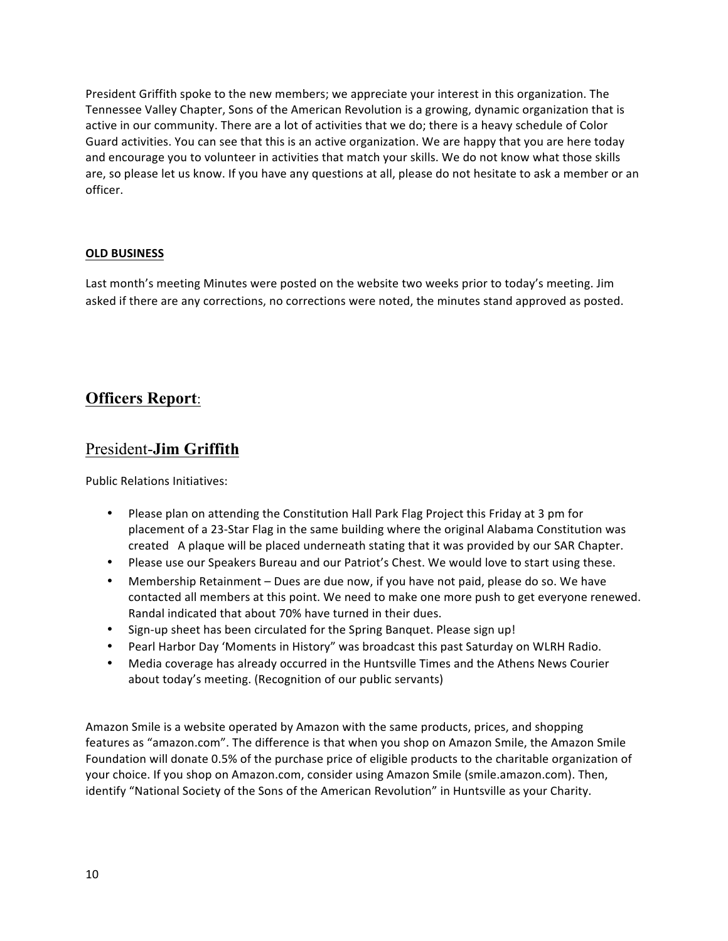President Griffith spoke to the new members; we appreciate your interest in this organization. The Tennessee Valley Chapter, Sons of the American Revolution is a growing, dynamic organization that is active in our community. There are a lot of activities that we do; there is a heavy schedule of Color Guard activities. You can see that this is an active organization. We are happy that you are here today and encourage you to volunteer in activities that match your skills. We do not know what those skills are, so please let us know. If you have any questions at all, please do not hesitate to ask a member or an officer.

## **OLD BUSINESS**

Last month's meeting Minutes were posted on the website two weeks prior to today's meeting. Jim asked if there are any corrections, no corrections were noted, the minutes stand approved as posted.

## **Officers Report**:

## President-**Jim Griffith**

Public Relations Initiatives:

- Please plan on attending the Constitution Hall Park Flag Project this Friday at 3 pm for placement of a 23-Star Flag in the same building where the original Alabama Constitution was created A plaque will be placed underneath stating that it was provided by our SAR Chapter.
- Please use our Speakers Bureau and our Patriot's Chest. We would love to start using these.
- Membership Retainment Dues are due now, if you have not paid, please do so. We have contacted all members at this point. We need to make one more push to get everyone renewed. Randal indicated that about 70% have turned in their dues.
- Sign-up sheet has been circulated for the Spring Banquet. Please sign up!
- Pearl Harbor Day 'Moments in History" was broadcast this past Saturday on WLRH Radio.
- Media coverage has already occurred in the Huntsville Times and the Athens News Courier about today's meeting. (Recognition of our public servants)

Amazon Smile is a website operated by Amazon with the same products, prices, and shopping features as "amazon.com". The difference is that when you shop on Amazon Smile, the Amazon Smile Foundation will donate 0.5% of the purchase price of eligible products to the charitable organization of your choice. If you shop on Amazon.com, consider using Amazon Smile (smile.amazon.com). Then, identify "National Society of the Sons of the American Revolution" in Huntsville as your Charity.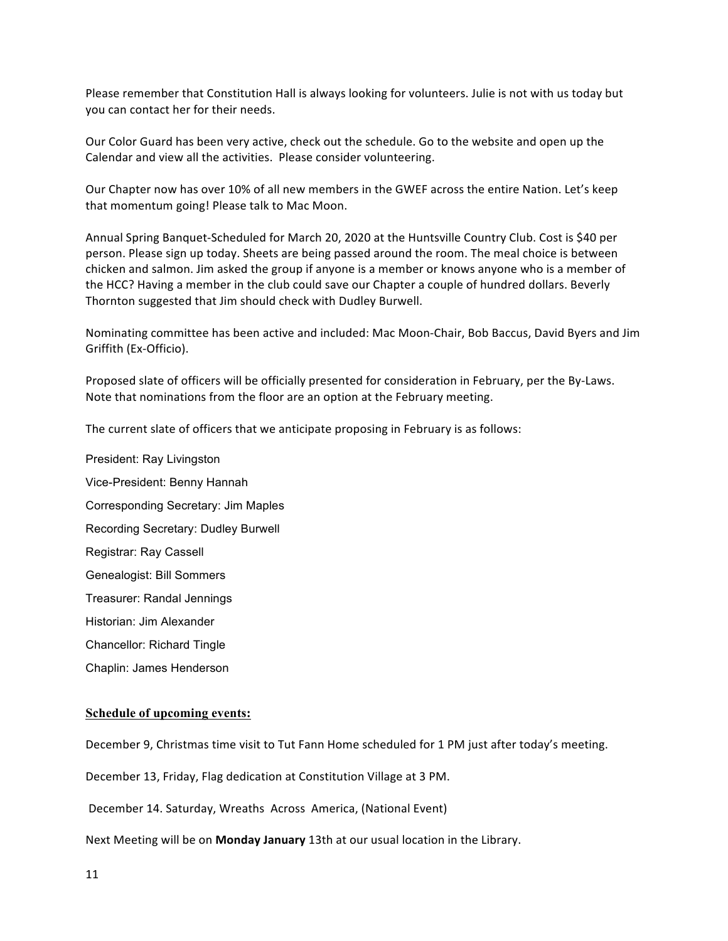Please remember that Constitution Hall is always looking for volunteers. Julie is not with us today but you can contact her for their needs.

Our Color Guard has been very active, check out the schedule. Go to the website and open up the Calendar and view all the activities. Please consider volunteering.

Our Chapter now has over 10% of all new members in the GWEF across the entire Nation. Let's keep that momentum going! Please talk to Mac Moon.

Annual Spring Banquet-Scheduled for March 20, 2020 at the Huntsville Country Club. Cost is \$40 per person. Please sign up today. Sheets are being passed around the room. The meal choice is between chicken and salmon. Jim asked the group if anyone is a member or knows anyone who is a member of the HCC? Having a member in the club could save our Chapter a couple of hundred dollars. Beverly Thornton suggested that Jim should check with Dudley Burwell.

Nominating committee has been active and included: Mac Moon-Chair, Bob Baccus, David Byers and Jim Griffith (Ex-Officio).

Proposed slate of officers will be officially presented for consideration in February, per the By-Laws. Note that nominations from the floor are an option at the February meeting.

The current slate of officers that we anticipate proposing in February is as follows:

President: Ray Livingston Vice-President: Benny Hannah Corresponding Secretary: Jim Maples Recording Secretary: Dudley Burwell Registrar: Ray Cassell Genealogist: Bill Sommers Treasurer: Randal Jennings Historian: Jim Alexander Chancellor: Richard Tingle Chaplin: James Henderson

#### **Schedule of upcoming events:**

December 9, Christmas time visit to Tut Fann Home scheduled for 1 PM just after today's meeting.

December 13, Friday, Flag dedication at Constitution Village at 3 PM.

December 14. Saturday, Wreaths Across America, (National Event)

Next Meeting will be on **Monday January** 13th at our usual location in the Library.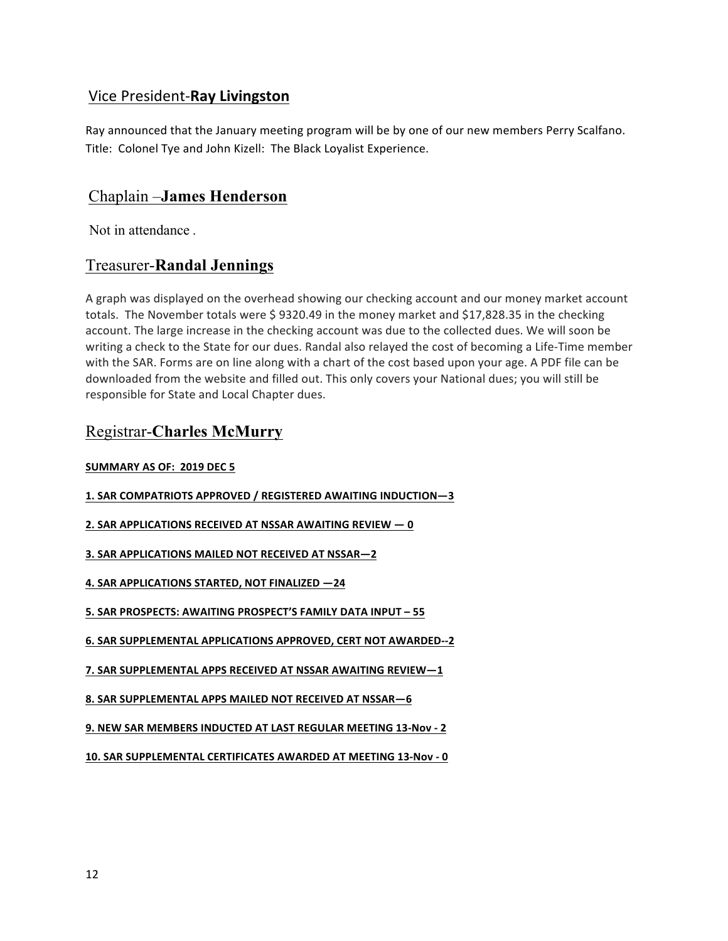## Vice President-**Ray Livingston**

Ray announced that the January meeting program will be by one of our new members Perry Scalfano. Title: Colonel Tye and John Kizell: The Black Loyalist Experience.

## Chaplain –**James Henderson**

Not in attendance .

## Treasurer-**Randal Jennings**

A graph was displayed on the overhead showing our checking account and our money market account totals. The November totals were \$ 9320.49 in the money market and \$17,828.35 in the checking account. The large increase in the checking account was due to the collected dues. We will soon be writing a check to the State for our dues. Randal also relayed the cost of becoming a Life-Time member with the SAR. Forms are on line along with a chart of the cost based upon your age. A PDF file can be downloaded from the website and filled out. This only covers your National dues; you will still be responsible for State and Local Chapter dues.

## Registrar-**Charles McMurry**

## **SUMMARY AS OF: 2019 DEC 5**

- **1. SAR COMPATRIOTS APPROVED / REGISTERED AWAITING INDUCTION—3**
- **2. SAR APPLICATIONS RECEIVED AT NSSAR AWAITING REVIEW**  $-0$
- **3. SAR APPLICATIONS MAILED NOT RECEIVED AT NSSAR-2**
- **4. SAR APPLICATIONS STARTED, NOT FINALIZED -24**

**5. SAR PROSPECTS: AWAITING PROSPECT'S FAMILY DATA INPUT - 55** 

- **6. SAR SUPPLEMENTAL APPLICATIONS APPROVED, CERT NOT AWARDED--2**
- **7. SAR SUPPLEMENTAL APPS RECEIVED AT NSSAR AWAITING REVIEW-1**
- **8. SAR SUPPLEMENTAL APPS MAILED NOT RECEIVED AT NSSAR-6**
- **9. NEW SAR MEMBERS INDUCTED AT LAST REGULAR MEETING 13-Nov - 2**
- 10. SAR SUPPLEMENTAL CERTIFICATES AWARDED AT MEETING 13-Nov 0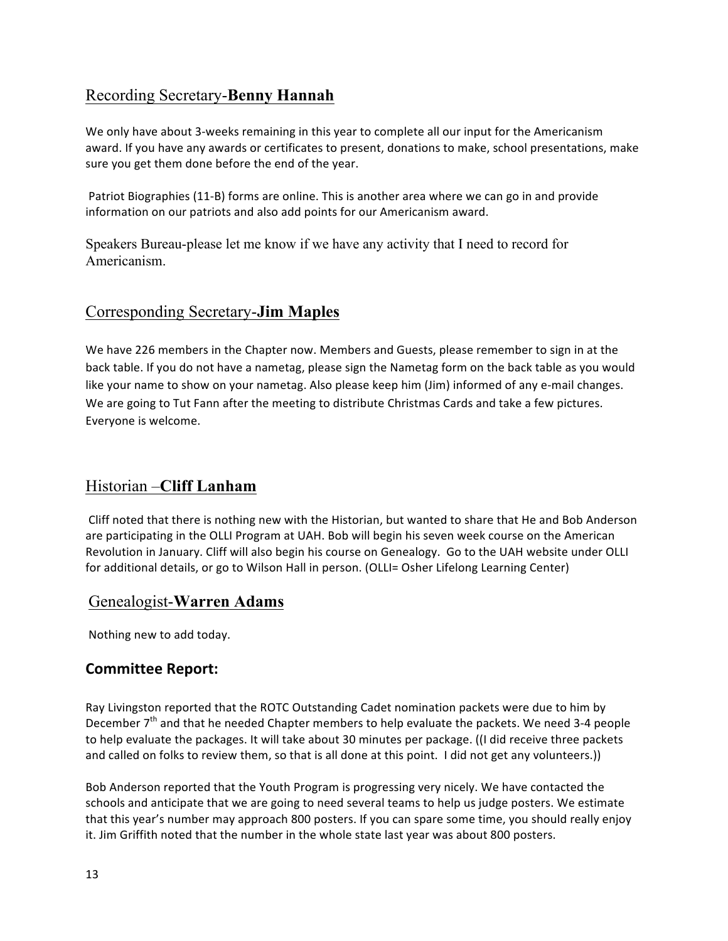## Recording Secretary-**Benny Hannah**

We only have about 3-weeks remaining in this year to complete all our input for the Americanism award. If you have any awards or certificates to present, donations to make, school presentations, make sure you get them done before the end of the year.

Patriot Biographies (11-B) forms are online. This is another area where we can go in and provide information on our patriots and also add points for our Americanism award.

Speakers Bureau-please let me know if we have any activity that I need to record for Americanism.

## Corresponding Secretary-**Jim Maples**

We have 226 members in the Chapter now. Members and Guests, please remember to sign in at the back table. If you do not have a nametag, please sign the Nametag form on the back table as you would like your name to show on your nametag. Also please keep him (Jim) informed of any e-mail changes. We are going to Tut Fann after the meeting to distribute Christmas Cards and take a few pictures. Everyone is welcome.

## Historian –**Cliff Lanham**

Cliff noted that there is nothing new with the Historian, but wanted to share that He and Bob Anderson are participating in the OLLI Program at UAH. Bob will begin his seven week course on the American Revolution in January. Cliff will also begin his course on Genealogy. Go to the UAH website under OLLI for additional details, or go to Wilson Hall in person. (OLLI= Osher Lifelong Learning Center)

## Genealogist-**Warren Adams**

Nothing new to add today.

## **Committee Report:**

Ray Livingston reported that the ROTC Outstanding Cadet nomination packets were due to him by December  $7<sup>th</sup>$  and that he needed Chapter members to help evaluate the packets. We need 3-4 people to help evaluate the packages. It will take about 30 minutes per package. ((I did receive three packets and called on folks to review them, so that is all done at this point. I did not get any volunteers.)

Bob Anderson reported that the Youth Program is progressing very nicely. We have contacted the schools and anticipate that we are going to need several teams to help us judge posters. We estimate that this year's number may approach 800 posters. If you can spare some time, you should really enjoy it. Jim Griffith noted that the number in the whole state last year was about 800 posters.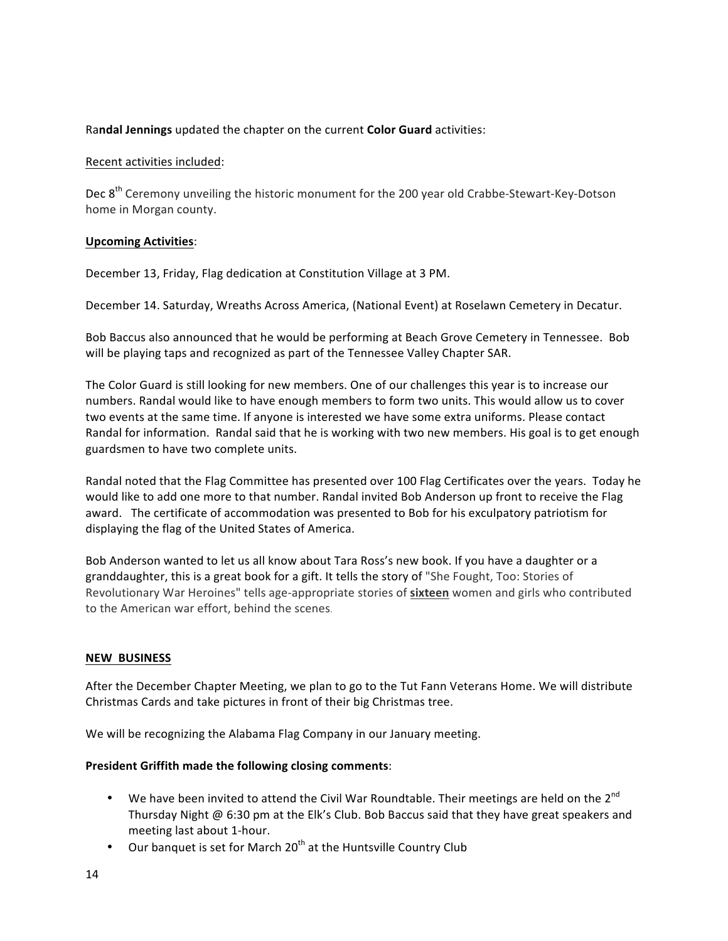## Randal Jennings updated the chapter on the current **Color Guard** activities:

## Recent activities included:

Dec 8<sup>th</sup> Ceremony unveiling the historic monument for the 200 year old Crabbe-Stewart-Key-Dotson home in Morgan county.

## **Upcoming Activities**:

December 13, Friday, Flag dedication at Constitution Village at 3 PM.

December 14. Saturday, Wreaths Across America, (National Event) at Roselawn Cemetery in Decatur.

Bob Baccus also announced that he would be performing at Beach Grove Cemetery in Tennessee. Bob will be playing taps and recognized as part of the Tennessee Valley Chapter SAR.

The Color Guard is still looking for new members. One of our challenges this year is to increase our numbers. Randal would like to have enough members to form two units. This would allow us to cover two events at the same time. If anyone is interested we have some extra uniforms. Please contact Randal for information. Randal said that he is working with two new members. His goal is to get enough guardsmen to have two complete units.

Randal noted that the Flag Committee has presented over 100 Flag Certificates over the years. Today he would like to add one more to that number. Randal invited Bob Anderson up front to receive the Flag award. The certificate of accommodation was presented to Bob for his exculpatory patriotism for displaying the flag of the United States of America.

Bob Anderson wanted to let us all know about Tara Ross's new book. If you have a daughter or a granddaughter, this is a great book for a gift. It tells the story of "She Fought, Too: Stories of Revolutionary War Heroines" tells age-appropriate stories of **sixteen** women and girls who contributed to the American war effort, behind the scenes.

#### **NEW BUSINESS**

After the December Chapter Meeting, we plan to go to the Tut Fann Veterans Home. We will distribute Christmas Cards and take pictures in front of their big Christmas tree.

We will be recognizing the Alabama Flag Company in our January meeting.

## **President Griffith made the following closing comments:**

- We have been invited to attend the Civil War Roundtable. Their meetings are held on the  $2^{nd}$ Thursday Night  $\omega$  6:30 pm at the Elk's Club. Bob Baccus said that they have great speakers and meeting last about 1-hour.
- Our banquet is set for March  $20<sup>th</sup>$  at the Huntsville Country Club